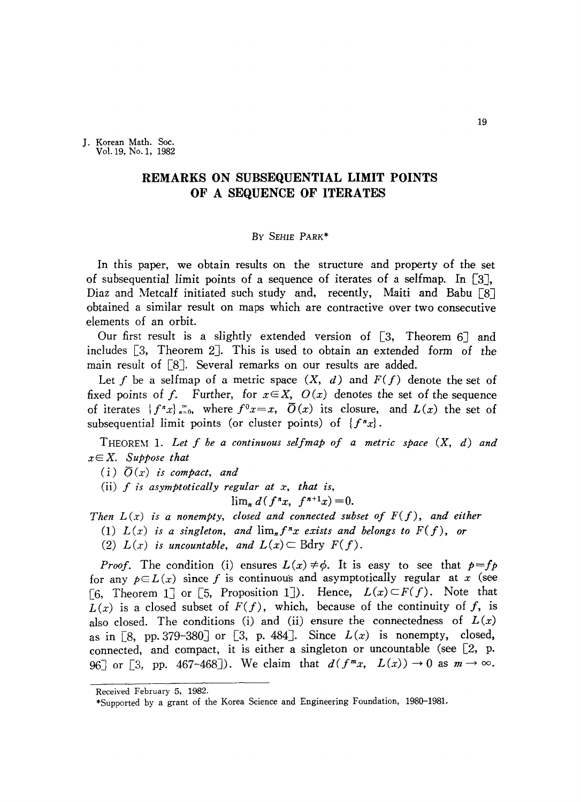J. Korean Math. Soc. Vol.19, No. I, 1982

# **REMARKS ON SUBSEQUENTIAL LIMIT POINTS OF A SEQUENCE OF ITERATES**

### By SEHIE PARK\*

In this paper, we obtain results on the structure and property of the set of subsequential limit points of a sequence of iterates of a selfmap. In [3J, Diaz and Metcalf initiated such study and, recently, Maiti and Babu [8] obtained a similar result on maps which are contractive over two consecutive elements of an orbit.

Our first result is a slightly extended version of  $[3,$  Theorem 6] and includes [3, Theorem 2]. This is used to obtain an extended form of the main result of [8]. Several remarks on our results are added.

Let f be a selfmap of a metric space  $(X, d)$  and  $F(f)$  denote the set of fixed points of f. Further, for  $x \in X$ ,  $O(x)$  denotes the set of the sequence of iterates  $\{f''x\}_{x=0}^{\infty}$ , where  $f^{0}x=x$ ,  $\overline{O}(x)$  its closure, and  $L(x)$  the set of subsequential limit points (or cluster points) of  $\{f''x\}$ .

THEOREM 1. *Let f be a continuous selfmap of a metric space (X, d) and* xE X. *Suppose that*

 $(i)$   $\overline{O}(x)$  *is compact, and* 

(ii) *f is asymptotically regular at x, that is,*

$$
\lim_{n} d(f^{n}x, f^{n+1}x) = 0.
$$

*Then L(x)* is *a nonempty, closed and connected subset of F(f), and either*

- (1)  $L(x)$  *is a* singleton, and  $\lim_{n} f^{n}x$  exists and belongs to  $F(f)$ , or
- (2)  $L(x)$  is uncountable, and  $L(x) \subset$  Bdry  $F(f)$ .

*Proof.* The condition (i) ensures  $L(x) \neq \emptyset$ . It is easy to see that  $p = fp$ for any  $p \in L(x)$  since f is continuous and asymptotically regular at x (see [6, Theorem 1] or [5, Proposition 1]). Hence,  $L(x) \subset F(f)$ . Note that  $L(x)$  is a closed subset of  $F(f)$ , which, because of the continuity of f, is also closed. The conditions (i) and (ii) ensure the connectedness of  $L(x)$ as in  $\lceil 8$ , pp. 379-380] or  $\lceil 3$ , p. 484]. Since  $L(x)$  is nonempty, closed, connected, and compact, it is either a singleton or uncountable (see  $[2, p$ . 96] or [3, pp. 467-468]). We claim that  $d(f^{m}x, L(x)) \to 0$  as  $m \to \infty$ .

Received February 5, 1982.

<sup>\*</sup>Supported by a grant of the Korea Science and Engineering Foundation, 1980-1981.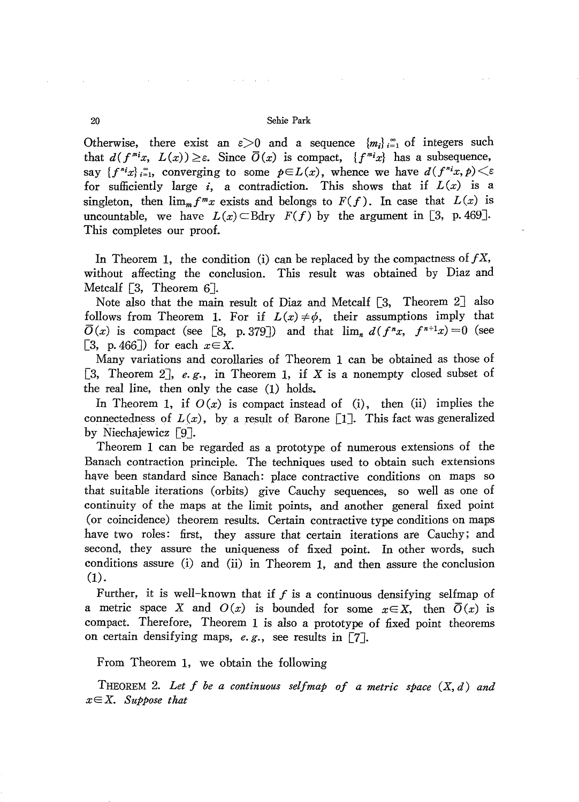#### 20 Sehie Park

and the control of the control of the

Otherwise, there exist an  $\varepsilon > 0$  and a sequence  ${m_i}_{i=1}^{\infty}$  of integers such that  $d(f^{m_i}x, L(x)) \geq \varepsilon$ . Since  $\overline{O}(x)$  is compact,  $\{f^{m_i}x\}$  has a subsequence, say  $\{f^{n_i}x\}_{i=1}^{\infty}$ , converging to some  $p \in L(x)$ , whence we have  $d(f^{n_i}x, p) \leq \varepsilon$ for sufficiently large *i*, a contradiction. This shows that if  $L(x)$  is a singleton, then  $\lim_{m} f^{m}x$  exists and belongs to  $F(f)$ . In case that  $L(x)$  is uncountable, we have  $L(x) \subset B$ dry  $F(f)$  by the argument in [3, p. 469]. This completes our proof.

In Theorem 1, the condition (i) can be replaced by the compactness of  $fX$ , without affecting the conclusion. This result was obtained by Diaz and Metcalf  $\lceil 3, \rceil$  Theorem 6.

Note also that the main result of Diaz and Metcalf [3, Theorem 2] also follows from Theorem 1. For if  $L(x) \neq \phi$ , their assumptions imply that  $\overline{O}(x)$  is compact (see [8, p.379]) and that  $\lim_{n} d(f^{n}x, f^{n+1}x) = 0$  (see [3, p. 466]) for each  $x \in X$ .

Many variations and corollaries of Theorem 1 can be obtained as those of [3, Theorem 2],  $e.g.,$  in Theorem 1, if  $X$  is a nonempty closed subset of the real line, then only the case (1) holds.

In Theorem 1, if  $O(x)$  is compact instead of (i), then (ii) implies the connectedness of  $L(x)$ , by a result of Barone [1]. This fact was generalized by Niechajewicz [9].

Theorem 1 can be regarded as a prototype of numerous extensions of the Banach contraction principle. The techniques used to obtain such extensions have been standard since Banach: place contractive conditions on maps so that suitable iterations (orbits) give Cauchy sequences, so well as one of continuity of the maps at the limit points, and another general fixed point (or coincidence) theorem results. Certain contractive type conditions on maps have two roles: first, they assure that certain iterations are Cauchy; and second, they assure the uniqueness of fixed point. In other words, such conditions assure (i) and (ii) in Theorem 1, and then assure the conclusion (1).

Further, it is well-known that if  $f$  is a continuous densifying selfmap of a metric space X and  $O(x)$  is bounded for some  $x \in X$ , then  $\overline{O}(x)$  is compact. Therefore, Theorem 1 is also a prototype of fixed point theorems on certain densifying maps, *e.* g., see results in [7J.

# From Theorem 1, we obtain the following

THEOREM 2. *Let* f *be a continuous setfmap of a metric space (X, d) and xEX. Suppose that*

 $\sim$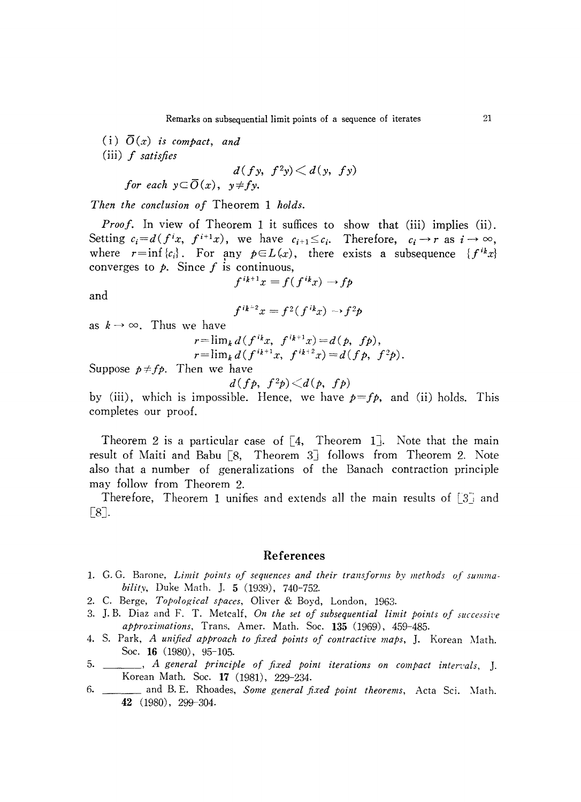(i)  $\overline{O}(x)$  *is compact, and* (iii) f *satisfies*

$$
d(fy, f2y) < d(y, fy)
$$

*for* each  $y \subseteq \overline{O}(x)$ ,  $y \neq fy$ .

*Then the conclusion of* Theorem 1 *holds.*

*Proof.* **In** view of Theorem 1 it suffices to show that (iii) implies (ii). Setting  $c_i = d(f^i x, f^{i+1} x)$ , we have  $c_{i+1} \leq c_i$ . Therefore,  $c_i \rightarrow r$  as  $i \rightarrow \infty$ , where  $r=\inf\{c_i\}$ . For any  $p\in L(x)$ , there exists a subsequence  $\{f^{ik}x\}$ converges to  $\phi$ . Since f is continuous,

$$
f^{ik+1}x = f(f^{ik}x) \rightarrow f p
$$

and

$$
f^{ik-2}x = f^2(f^{ik}x) \rightarrow f^2p
$$

as  $k \rightarrow \infty$ . Thus we have

$$
r = \lim_{k} d(f^{ik}x, f^{ik+1}x) = d(p, fp),
$$
  
\n
$$
r = \lim_{k} d(f^{ik+1}x, f^{ik+2}x) = d(fp, f^{2}p).
$$

Suppose  $p \neq f p$ . Then we have

$$
d(fp, f2p) \triangleleft (p, fp)
$$

by (iii), which is impossible. Hence, we have  $p=f_p$ , and (ii) holds. This completes our proof.

Theorem 2 is a particular case of  $[4,$  Theorem 1... Note that the main result of Maiti and Babu [8, Theorem 3J follows from Theorem 2. Note also that a number of generalizations of the Banach contraction principle may follow from Theorem 2.

Therefore, Theorem 1 unifies and extends all the main results of  $[3]$  and [8].

## **References**

- 1. G. G. Bnrone, *Limit points of sequences and their transforms by methods of summa· bility,* Duke Math. ]. 5 (1939), 740-752.
- 2. C. Berge, *Topological spaces*, Oliver & Boyd, London, 1963.
- 3. ]. B. Diaz and F. T. Metcalf, *On the set of subsequential limit points of successiz'e approximations,* Trans. Amer. Math. Soc. **135** (1969), 459-485.
- 4. S. Park, *A unified approach to fixed points of contractive maps,* ]. Korean l\1ath. Soc. **16** (1980), 95-105.
- 5. , *A general principle of fixed point iterations on compact inten.'als,* ]. Korean Math. Soc. **17** (1981), 229-234.
- 6. \_\_\_\_\_\_\_ and B. E. Rhoades, *Some general fixed point theorems*, Acta Sci. Math. **42** (1980), 299-304.